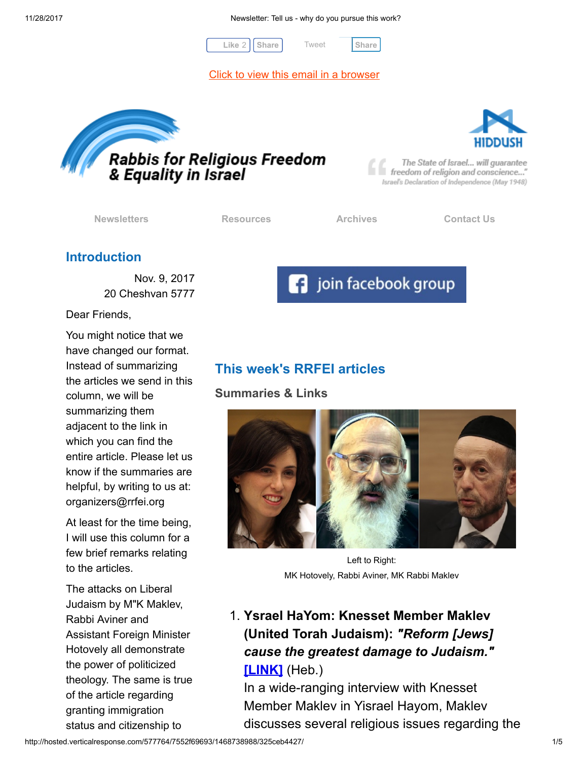11/28/2017 Newsletter: Tell us - why do you pursue this work?

[Tweet](https://twitter.com/intent/tweet?original_referer=http%3A%2F%2Fhosted.verticalresponse.com%2F577764%2F7552f69693%2F1468738988%2F325ceb4427%2F&ref_src=twsrc%5Etfw&text=Newsletter%3A%20Tell%20us%20-%20why%20do%20you%20pursue%20this%20work%3F&tw_p=tweetbutton&url=http%3A%2F%2Fhosted-p0.vresp.com%2F577764%2F7552f69693%2FARCHIVE%23.Wh1pEhQIkAM.twitter)



[Click to view this email in a browser](http://hosted.verticalresponse.com/577764/7552f69693/TEST/TEST/)





The State of Israel... will guarantee freedom of religion and conscience..." Israel's Declaration of Independence (May 1948)

[Newsletters](http://cts.vresp.com/c/?FreedomofReligionfor/7552f69693/325ceb4427/6c27058b6f) **[Resources](http://cts.vresp.com/c/?FreedomofReligionfor/7552f69693/325ceb4427/2ba8f22692) Resources** [Archives](http://cts.vresp.com/c/?FreedomofReligionfor/7552f69693/325ceb4427/db5474ab31) [Contact Us](http://cts.vresp.com/c/?FreedomofReligionfor/7552f69693/325ceb4427/2c26ddd3ed)

## Introduction

Nov. 9, 2017 20 Cheshvan 5777

Dear Friends,

You might notice that we have changed our format. Instead of summarizing the articles we send in this column, we will be summarizing them adjacent to the link in which you can find the entire article. Please let us know if the summaries are helpful, by writing to us at: organizers@rrfei.org

At least for the time being, I will use this column for a few brief remarks relating to the articles.

The attacks on Liberal Judaism by M"K Maklev, Rabbi Aviner and Assistant Foreign Minister Hotovely all demonstrate the power of politicized theology. The same is true of the article regarding granting immigration status and citizenship to

**f** join facebook group

# This week's RRFEI articles

Summaries & Links



Left to Right: MK Hotovely, Rabbi Aviner, MK Rabbi Maklev

1. Ysrael HaYom: Knesset Member Maklev (United Torah Judaism): "Reform [Jews] cause the greatest damage to Judaism." [\[LINK\]](http://cts.vresp.com/c/?FreedomofReligionfor/7552f69693/325ceb4427/31265eac82) (Heb.)

In a wide-ranging interview with Knesset Member Maklev in Yisrael Hayom, Maklev discusses several religious issues regarding the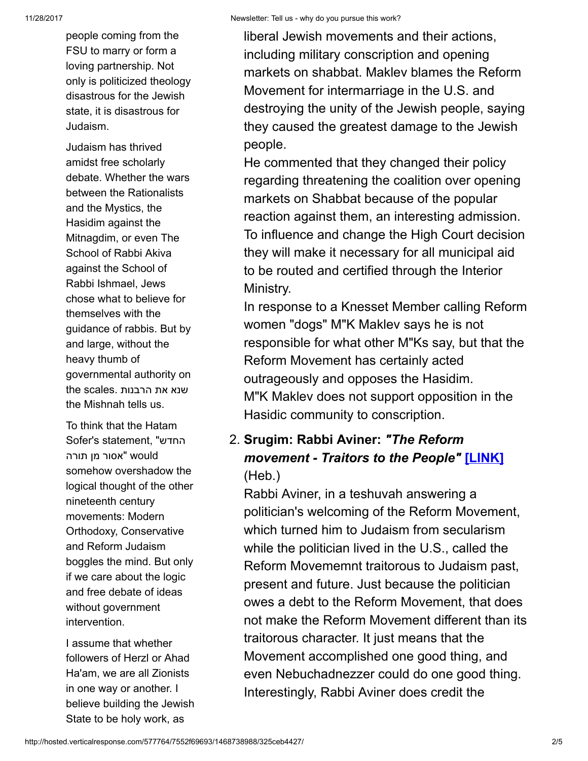people coming from the FSU to marry or form a loving partnership. Not only is politicized theology disastrous for the Jewish state, it is disastrous for Judaism.

Judaism has thrived amidst free scholarly debate. Whether the wars between the Rationalists and the Mystics, the Hasidim against the Mitnagdim, or even The School of Rabbi Akiva against the School of Rabbi Ishmael, Jews chose what to believe for themselves with the guidance of rabbis. But by and large, without the heavy thumb of governmental authority on the scales. שנא את הרבנות the Mishnah tells us.

To think that the Hatam Sofer's statement, "החדש would" אסור מן תורה somehow overshadow the logical thought of the other nineteenth century movements: Modern Orthodoxy, Conservative and Reform Judaism boggles the mind. But only if we care about the logic and free debate of ideas without government intervention.

I assume that whether followers of Herzl or Ahad Ha'am, we are all Zionists in one way or another. I believe building the Jewish State to be holy work, as

liberal Jewish movements and their actions, including military conscription and opening markets on shabbat. Maklev blames the Reform Movement for intermarriage in the U.S. and destroying the unity of the Jewish people, saying they caused the greatest damage to the Jewish people.

He commented that they changed their policy regarding threatening the coalition over opening markets on Shabbat because of the popular reaction against them, an interesting admission. To influence and change the High Court decision they will make it necessary for all municipal aid to be routed and certified through the Interior Ministry.

In response to a Knesset Member calling Reform women "dogs" M"K Maklev says he is not responsible for what other M"Ks say, but that the Reform Movement has certainly acted outrageously and opposes the Hasidim. M"K Maklev does not support opposition in the Hasidic community to conscription.

## 2. Srugim: Rabbi Aviner: "The Reform movement - Traitors to the People" [\[LINK\]](http://cts.vresp.com/c/?FreedomofReligionfor/7552f69693/325ceb4427/8735934b49) (Heb.)

Rabbi Aviner, in a teshuvah answering a politician's welcoming of the Reform Movement, which turned him to Judaism from secularism while the politician lived in the U.S., called the Reform Movememnt traitorous to Judaism past, present and future. Just because the politician owes a debt to the Reform Movement, that does not make the Reform Movement different than its traitorous character. It just means that the Movement accomplished one good thing, and even Nebuchadnezzer could do one good thing. Interestingly, Rabbi Aviner does credit the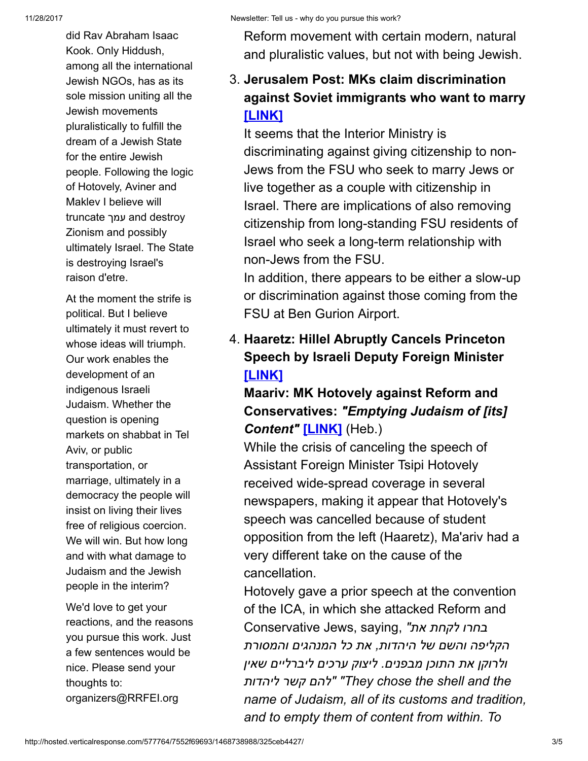did Rav Abraham Isaac Kook. Only Hiddush, among all the international Jewish NGOs, has as its sole mission uniting all the Jewish movements pluralistically to fulfill the dream of a Jewish State for the entire Jewish people. Following the logic of Hotovely, Aviner and Maklev I believe will truncate עמך and destroy Zionism and possibly ultimately Israel. The State is destroying Israel's raison d'etre.

At the moment the strife is political. But I believe ultimately it must revert to whose ideas will triumph. Our work enables the development of an indigenous Israeli Judaism. Whether the question is opening markets on shabbat in Tel Aviv, or public transportation, or marriage, ultimately in a democracy the people will insist on living their lives free of religious coercion. We will win. But how long and with what damage to Judaism and the Jewish people in the interim?

We'd love to get your reactions, and the reasons you pursue this work. Just a few sentences would be nice. Please send your thoughts to: organizers@RRFEI.org

Reform movement with certain modern, natural and pluralistic values, but not with being Jewish.

## 3. Jerusalem Post: MKs claim discrimination against Soviet immigrants who want to marry [\[LINK\]](http://cts.vresp.com/c/?FreedomofReligionfor/7552f69693/325ceb4427/9f00c6eec8)

It seems that the Interior Ministry is discriminating against giving citizenship to non-Jews from the FSU who seek to marry Jews or live together as a couple with citizenship in Israel. There are implications of also removing citizenship from long-standing FSU residents of Israel who seek a long-term relationship with non-Jews from the FSU.

In addition, there appears to be either a slow-up or discrimination against those coming from the FSU at Ben Gurion Airport.

4. Haaretz: Hillel Abruptly Cancels Princeton Speech by Israeli Deputy Foreign Minister [\[LINK\]](http://cts.vresp.com/c/?FreedomofReligionfor/7552f69693/325ceb4427/ddf4c82dee)

Maariv: MK Hotovely against Reform and Conservatives: "Emptying Judaism of [its] Content" [\[LINK\]](http://cts.vresp.com/c/?FreedomofReligionfor/7552f69693/325ceb4427/01f2a2b05d) (Heb.)

While the crisis of canceling the speech of Assistant Foreign Minister Tsipi Hotovely received wide-spread coverage in several newspapers, making it appear that Hotovely's speech was cancelled because of student opposition from the left (Haaretz), Ma'ariv had a very different take on the cause of the cancellation.

Hotovely gave a prior speech at the convention of the ICA, in which she attacked Reform and Eחרו לקחת את" ,Conservative Jews, saying הקליפה והשם של היהדות, את כל המנהגים והמסורת ולרוקן את התוכן מבפנים. ליצוק ערכים ליברליים שאין ליהדות קשר להם" "They chose the shell and the name of Judaism, all of its customs and tradition, and to empty them of content from within. To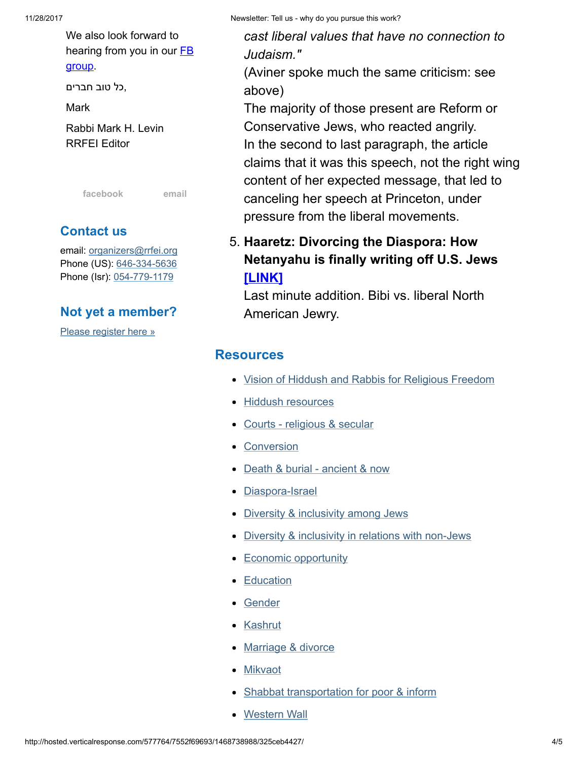11/28/2017 Newsletter: Tell us - why do you pursue this work?

We also look forward to hearing from you in our  $FB$ group.

,כל טוב חברים

Mark

Rabbi Mark H. Levin RRFEI Editor

[facebook](http://cts.vresp.com/c/?FreedomofReligionfor/7552f69693/325ceb4427/3242cee3b7) [email](mailto:organizers@rrfei.org)

### Contact us

email: [organizers@rrfei.org](mailto:organizers@rrfei.org) Phone (US): [646-334-5636](http://cts.vresp.com/c/?FreedomofReligionfor/7552f69693/325ceb4427/bf5dc043ba) Phone (Isr): [054-779-1179](http://cts.vresp.com/c/?FreedomofReligionfor/7552f69693/325ceb4427/c1da861803)

#### Not yet a member?

[Please register here »](http://cts.vresp.com/c/?FreedomofReligionfor/7552f69693/325ceb4427/27fe34b9b7)

cast liberal values that have no connection to Judaism."

(Aviner spoke much the same criticism: see above)

The majority of those present are Reform or Conservative Jews, who reacted angrily. In the second to last paragraph, the article claims that it was this speech, not the right wing content of her expected message, that led to canceling her speech at Princeton, under pressure from the liberal movements.

## 5. Haaretz: Divorcing the Diaspora: How Netanyahu is finally writing off U.S. Jews [\[LINK\]](http://cts.vresp.com/c/?FreedomofReligionfor/7552f69693/325ceb4427/2b120a9d1c)

Last minute addition. Bibi vs. liberal North American Jewry.

#### **Resources**

- [Vision of Hiddush and Rabbis for Religious Freedom](http://cts.vresp.com/c/?FreedomofReligionfor/7552f69693/325ceb4427/e62082d5f9)
- [Hiddush resources](http://cts.vresp.com/c/?FreedomofReligionfor/7552f69693/325ceb4427/3a78a3e1bc)
- [Courts religious & secular](http://cts.vresp.com/c/?FreedomofReligionfor/7552f69693/325ceb4427/b130503704)
- [Conversion](http://cts.vresp.com/c/?FreedomofReligionfor/7552f69693/325ceb4427/9a55233ee0)
- [Death & burial ancient & now](http://cts.vresp.com/c/?FreedomofReligionfor/7552f69693/325ceb4427/5cade51abb)
- [Diaspora-Israel](http://cts.vresp.com/c/?FreedomofReligionfor/7552f69693/325ceb4427/6e4ebd098b)
- [Diversity & inclusivity among Jews](http://cts.vresp.com/c/?FreedomofReligionfor/7552f69693/325ceb4427/0eb33a661b)
- [Diversity & inclusivity in relations with non-Jews](http://cts.vresp.com/c/?FreedomofReligionfor/7552f69693/325ceb4427/34afb353f8)
- [Economic opportunity](http://cts.vresp.com/c/?FreedomofReligionfor/7552f69693/325ceb4427/3ed71aa9cb)
- **[Education](http://cts.vresp.com/c/?FreedomofReligionfor/7552f69693/325ceb4427/1f484d9081)**
- [Gender](http://cts.vresp.com/c/?FreedomofReligionfor/7552f69693/325ceb4427/e61d372274)
- [Kashrut](http://cts.vresp.com/c/?FreedomofReligionfor/7552f69693/325ceb4427/1c643f4678)
- [Marriage & divorce](http://cts.vresp.com/c/?FreedomofReligionfor/7552f69693/325ceb4427/e47c6a9040)
- **[Mikvaot](http://cts.vresp.com/c/?FreedomofReligionfor/7552f69693/325ceb4427/93fb1e8274)**
- [Shabbat transportation for poor & inform](http://cts.vresp.com/c/?FreedomofReligionfor/7552f69693/325ceb4427/79867f9512)
- [Western Wall](http://cts.vresp.com/c/?FreedomofReligionfor/7552f69693/325ceb4427/7e5324ce86)